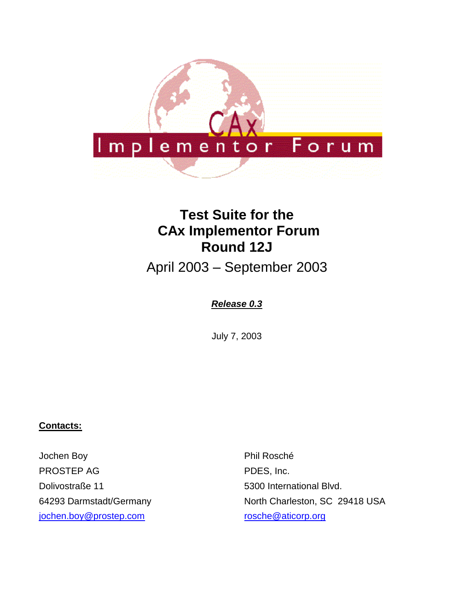

# **Test Suite for the CAx Implementor Forum Round 12J**

April 2003 – September 2003

### *Release 0.3*

July 7, 2003

#### **Contacts:**

Jochen Boy PROSTEP AG Dolivostraße 11 64293 Darmstadt/Germany [jochen.boy@prostep.com](mailto:jochen.boy@prostep.com)

Phil Rosché PDES, Inc. 5300 International Blvd. North Charleston, SC 29418 USA [rosche@aticorp.org](mailto:rosche@aticorp.org)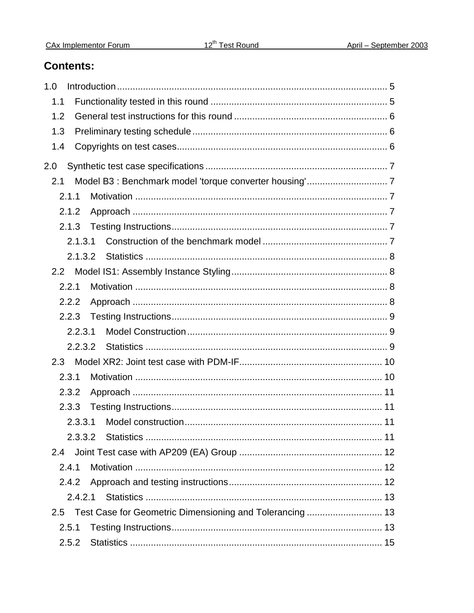## **Contents:**

| 1.0     |  |
|---------|--|
| 1.1     |  |
| 1.2     |  |
| 1.3     |  |
| 1.4     |  |
| 2.0     |  |
| 2.1     |  |
| 2.1.1   |  |
| 2.1.2   |  |
| 2.1.3   |  |
| 2.1.3.1 |  |
| 2.1.3.2 |  |
|         |  |
| 2.2.1   |  |
| 2.2.2   |  |
|         |  |
| 2.2.3.1 |  |
| 2.2.3.2 |  |
| 2.3     |  |
| 2.3.1   |  |
| 2.3.2   |  |
| 2.3.3   |  |
| 2.3.3.1 |  |
| 2.3.3.2 |  |
| 2.4     |  |
| 2.4.1   |  |
| 2.4.2   |  |
| 2.4.2.1 |  |
| 2.5     |  |
| 2.5.1   |  |
| 2.5.2   |  |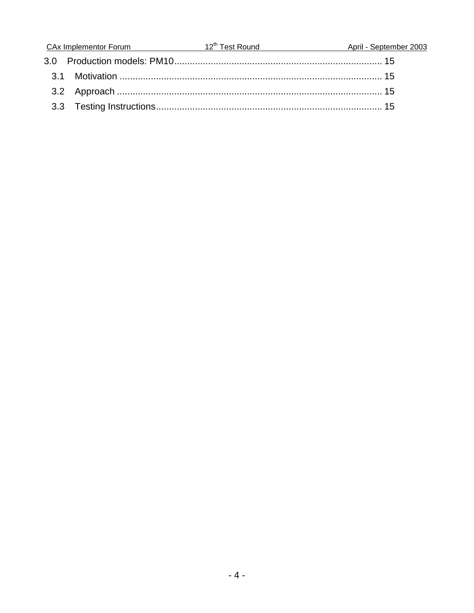|  | CAx Implementor Forum 12 <sup>th</sup> Test Round | April - September 2003 |
|--|---------------------------------------------------|------------------------|
|  |                                                   |                        |
|  |                                                   |                        |
|  |                                                   |                        |
|  |                                                   |                        |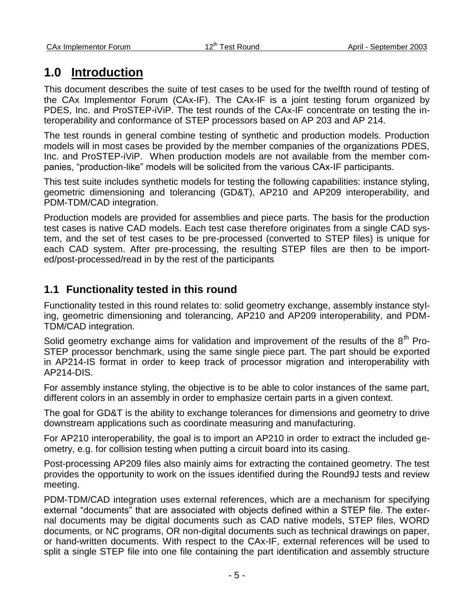## **1.0 Introduction**

This document describes the suite of test cases to be used for the twelfth round of testing of the CAx Implementor Forum (CAx-IF). The CAx-IF is a joint testing forum organized by PDES, Inc. and ProSTEP-iViP. The test rounds of the CAx-IF concentrate on testing the interoperability and conformance of STEP processors based on AP 203 and AP 214.

The test rounds in general combine testing of synthetic and production models. Production models will in most cases be provided by the member companies of the organizations PDES, Inc. and ProSTEP-iViP. When production models are not available from the member companies, "production-like" models will be solicited from the various CAx-IF participants.

This test suite includes synthetic models for testing the following capabilities: instance styling, geometric dimensioning and tolerancing (GD&T), AP210 and AP209 interoperability, and PDM-TDM/CAD integration.

Production models are provided for assemblies and piece parts. The basis for the production test cases is native CAD models. Each test case therefore originates from a single CAD system, and the set of test cases to be pre-processed (converted to STEP files) is unique for each CAD system. After pre-processing, the resulting STEP files are then to be imported/post-processed/read in by the rest of the participants

## **1.1 Functionality tested in this round**

Functionality tested in this round relates to: solid geometry exchange, assembly instance styling, geometric dimensioning and tolerancing, AP210 and AP209 interoperability, and PDM-TDM/CAD integration.

Solid geometry exchange aims for validation and improvement of the results of the  $8<sup>th</sup>$  Pro-STEP processor benchmark, using the same single piece part. The part should be exported in AP214-IS format in order to keep track of processor migration and interoperability with AP214-DIS.

For assembly instance styling, the objective is to be able to color instances of the same part, different colors in an assembly in order to emphasize certain parts in a given context.

The goal for GD&T is the ability to exchange tolerances for dimensions and geometry to drive downstream applications such as coordinate measuring and manufacturing.

For AP210 interoperability, the goal is to import an AP210 in order to extract the included geometry, e.g. for collision testing when putting a circuit board into its casing.

Post-processing AP209 files also mainly aims for extracting the contained geometry. The test provides the opportunity to work on the issues identified during the Round9J tests and review meeting.

PDM-TDM/CAD integration uses external references, which are a mechanism for specifying external "documents" that are associated with objects defined within a STEP file. The external documents may be digital documents such as CAD native models, STEP files, WORD documents, or NC programs, OR non-digital documents such as technical drawings on paper, or hand-written documents. With respect to the CAx-IF, external references will be used to split a single STEP file into one file containing the part identification and assembly structure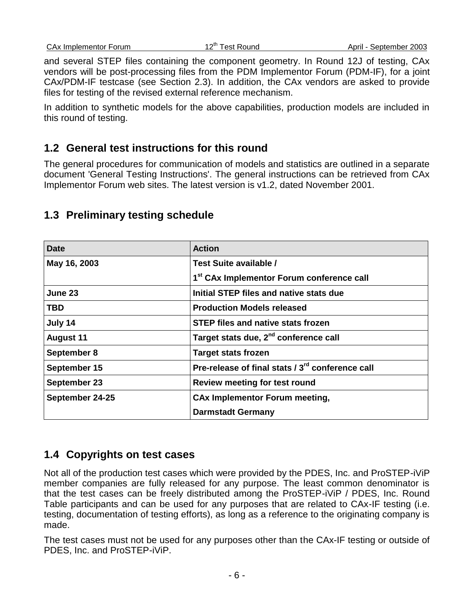and several STEP files containing the component geometry. In Round 12J of testing, CAx vendors will be post-processing files from the PDM Implementor Forum (PDM-IF), for a joint CAx/PDM-IF testcase (see Section 2.3). In addition, the CAx vendors are asked to provide files for testing of the revised external reference mechanism.

In addition to synthetic models for the above capabilities, production models are included in this round of testing.

## **1.2 General test instructions for this round**

The general procedures for communication of models and statistics are outlined in a separate document 'General Testing Instructions'. The general instructions can be retrieved from CAx Implementor Forum web sites. The latest version is v1.2, dated November 2001.

| <b>Date</b>      | <b>Action</b>                                                |
|------------------|--------------------------------------------------------------|
| May 16, 2003     | Test Suite available /                                       |
|                  | 1 <sup>st</sup> CAx Implementor Forum conference call        |
| June 23          | Initial STEP files and native stats due                      |
| TBD              | <b>Production Models released</b>                            |
| July 14          | <b>STEP files and native stats frozen</b>                    |
| <b>August 11</b> | Target stats due, 2 <sup>nd</sup> conference call            |
| September 8      | <b>Target stats frozen</b>                                   |
| September 15     | Pre-release of final stats / 3 <sup>rd</sup> conference call |
| September 23     | Review meeting for test round                                |
| September 24-25  | <b>CAx Implementor Forum meeting,</b>                        |
|                  | <b>Darmstadt Germany</b>                                     |

## **1.3 Preliminary testing schedule**

## **1.4 Copyrights on test cases**

Not all of the production test cases which were provided by the PDES, Inc. and ProSTEP-iViP member companies are fully released for any purpose. The least common denominator is that the test cases can be freely distributed among the ProSTEP-iViP / PDES, Inc. Round Table participants and can be used for any purposes that are related to CAx-IF testing (i.e. testing, documentation of testing efforts), as long as a reference to the originating company is made.

The test cases must not be used for any purposes other than the CAx-IF testing or outside of PDES, Inc. and ProSTEP-iViP.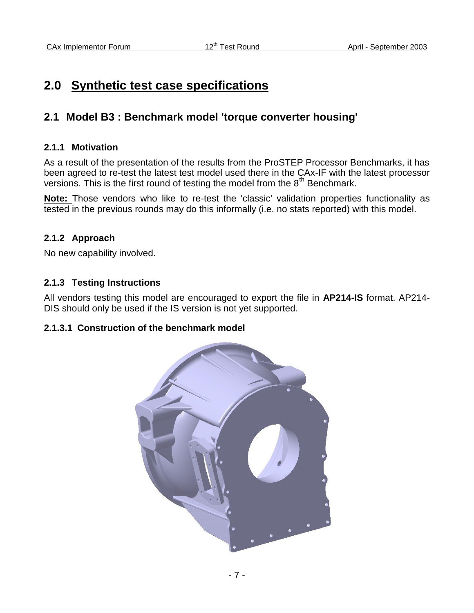## **2.0 Synthetic test case specifications**

## **2.1 Model B3 : Benchmark model 'torque converter housing'**

#### **2.1.1 Motivation**

As a result of the presentation of the results from the ProSTEP Processor Benchmarks, it has been agreed to re-test the latest test model used there in the CAx-IF with the latest processor versions. This is the first round of testing the model from the  $8<sup>th</sup>$  Benchmark.

**Note:** Those vendors who like to re-test the 'classic' validation properties functionality as tested in the previous rounds may do this informally (i.e. no stats reported) with this model.

#### **2.1.2 Approach**

No new capability involved.

#### **2.1.3 Testing Instructions**

All vendors testing this model are encouraged to export the file in **AP214-IS** format. AP214- DIS should only be used if the IS version is not yet supported.

#### **2.1.3.1 Construction of the benchmark model**

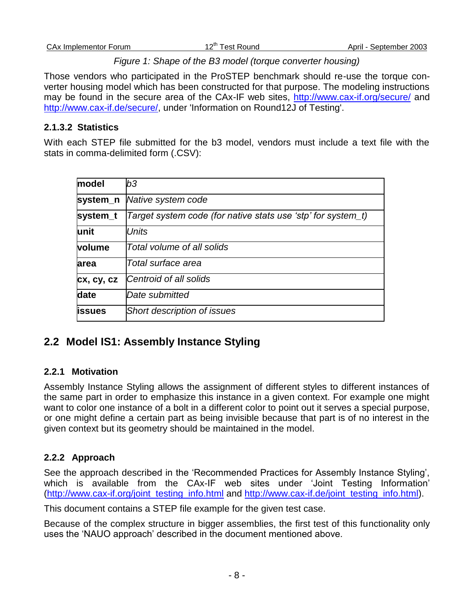#### *Figure 1: Shape of the B3 model (torque converter housing)*

Those vendors who participated in the ProSTEP benchmark should re-use the torque converter housing model which has been constructed for that purpose. The modeling instructions may be found in the secure area of the CAx-IF web sites,<http://www.cax-if.org/secure/> and [http://www.cax-if.de/secure/,](http://www.cax-if.de/secure/) under 'Information on Round12J of Testing'.

#### **2.1.3.2 Statistics**

With each STEP file submitted for the b3 model, vendors must include a text file with the stats in comma-delimited form (.CSV):

| model          | b3                                                           |
|----------------|--------------------------------------------------------------|
| system_n       | Native system code                                           |
| system_t       | Target system code (for native stats use 'stp' for system_t) |
| lunit          | Units                                                        |
| volume         | Total volume of all solids                                   |
| larea          | Total surface area                                           |
| cx, cy, cz     | Centroid of all solids                                       |
| date           | Date submitted                                               |
| <b>lissues</b> | <b>Short description of issues</b>                           |

## **2.2 Model IS1: Assembly Instance Styling**

#### **2.2.1 Motivation**

Assembly Instance Styling allows the assignment of different styles to different instances of the same part in order to emphasize this instance in a given context. For example one might want to color one instance of a bolt in a different color to point out it serves a special purpose, or one might define a certain part as being invisible because that part is of no interest in the given context but its geometry should be maintained in the model.

#### **2.2.2 Approach**

See the approach described in the "Recommended Practices for Assembly Instance Styling", which is available from the CAx-IF web sites under 'Joint Testing Information' [\(http://www.cax-if.org/joint\\_testing\\_info.html](http://www.cax-if.org/joint_testing_info.html) and [http://www.cax-if.de/joint\\_testing\\_info.html\)](http://www.cax-if.de/joint_testing_info.html).

This document contains a STEP file example for the given test case.

Because of the complex structure in bigger assemblies, the first test of this functionality only uses the "NAUO approach" described in the document mentioned above.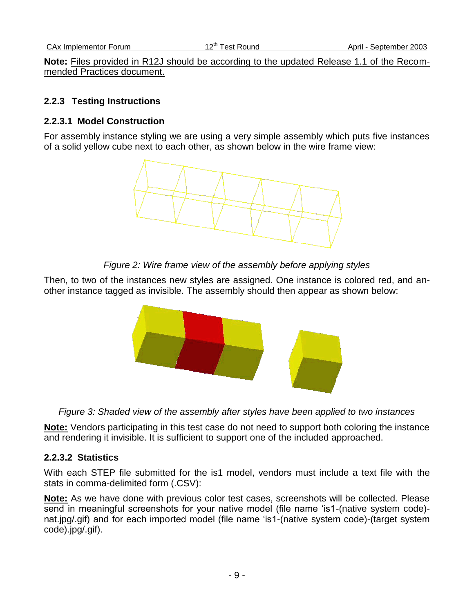**Note:** Files provided in R12J should be according to the updated Release 1.1 of the Recommended Practices document.

#### **2.2.3 Testing Instructions**

#### **2.2.3.1 Model Construction**

For assembly instance styling we are using a very simple assembly which puts five instances of a solid yellow cube next to each other, as shown below in the wire frame view:



*Figure 2: Wire frame view of the assembly before applying styles*

Then, to two of the instances new styles are assigned. One instance is colored red, and another instance tagged as invisible. The assembly should then appear as shown below:



*Figure 3: Shaded view of the assembly after styles have been applied to two instances*

**Note:** Vendors participating in this test case do not need to support both coloring the instance and rendering it invisible. It is sufficient to support one of the included approached.

#### **2.2.3.2 Statistics**

With each STEP file submitted for the is1 model, vendors must include a text file with the stats in comma-delimited form (.CSV):

**Note:** As we have done with previous color test cases, screenshots will be collected. Please send in meaningful screenshots for your native model (file name "is1-(native system code) nat.jpg/.gif) and for each imported model (file name "is1-(native system code)-(target system code).jpg/.gif).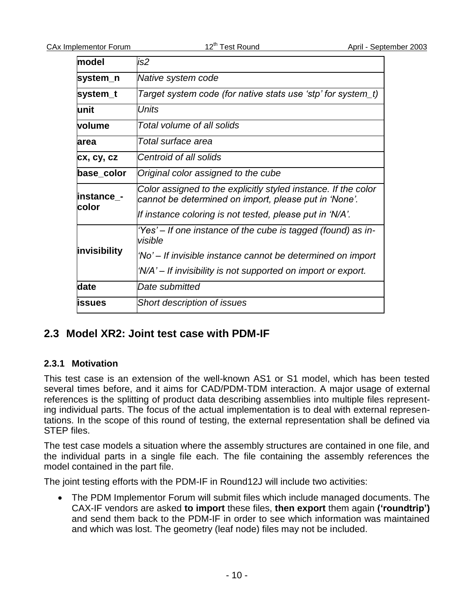| model               | is2                                                                                                                     |
|---------------------|-------------------------------------------------------------------------------------------------------------------------|
| system_n            | Native system code                                                                                                      |
| system_t            | Target system code (for native stats use 'stp' for system_t)                                                            |
| lunit               | Units                                                                                                                   |
| volume              | Total volume of all solids                                                                                              |
| larea               | Total surface area                                                                                                      |
| cx, cy, cz          | Centroid of all solids                                                                                                  |
| base_color          | Original color assigned to the cube                                                                                     |
| instance_-          | Color assigned to the explicitly styled instance. If the color<br>cannot be determined on import, please put in 'None'. |
| color               | If instance coloring is not tested, please put in 'N/A'.                                                                |
|                     | 'Yes' – If one instance of the cube is tagged (found) as in-<br>visible                                                 |
| <b>invisibility</b> | 'No' – If invisible instance cannot be determined on import                                                             |
|                     | 'N/A' – If invisibility is not supported on import or export.                                                           |
| date                | Date submitted                                                                                                          |
| <b>lissues</b>      | <b>Short description of issues</b>                                                                                      |

### **2.3 Model XR2: Joint test case with PDM-IF**

#### **2.3.1 Motivation**

This test case is an extension of the well-known AS1 or S1 model, which has been tested several times before, and it aims for CAD/PDM-TDM interaction. A major usage of external references is the splitting of product data describing assemblies into multiple files representing individual parts. The focus of the actual implementation is to deal with external representations. In the scope of this round of testing, the external representation shall be defined via STEP files.

The test case models a situation where the assembly structures are contained in one file, and the individual parts in a single file each. The file containing the assembly references the model contained in the part file.

The joint testing efforts with the PDM-IF in Round12J will include two activities:

 The PDM Implementor Forum will submit files which include managed documents. The CAX-IF vendors are asked **to import** these files, **then export** them again **('roundtrip')** and send them back to the PDM-IF in order to see which information was maintained and which was lost. The geometry (leaf node) files may not be included.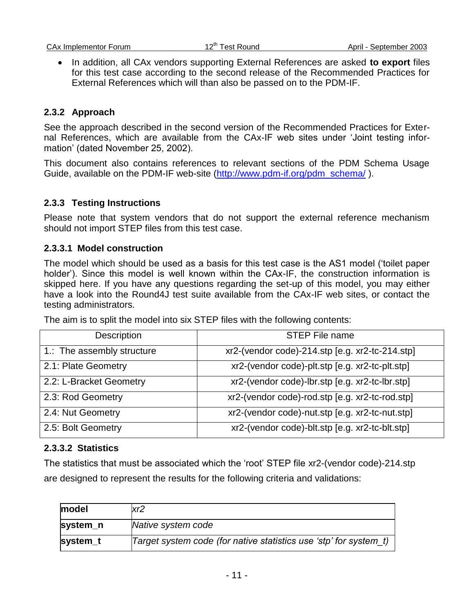• In addition, all CAx vendors supporting External References are asked **to export** files for this test case according to the second release of the Recommended Practices for External References which will than also be passed on to the PDM-IF.

#### **2.3.2 Approach**

See the approach described in the second version of the Recommended Practices for External References, which are available from the CAx-IF web sites under "Joint testing information" (dated November 25, 2002).

This document also contains references to relevant sections of the PDM Schema Usage Guide, available on the PDM-IF web-site [\(http://www.pdm-if.org/pdm\\_schema/](http://www.pdm-if.org/pdm_schema/)).

#### **2.3.3 Testing Instructions**

Please note that system vendors that do not support the external reference mechanism should not import STEP files from this test case.

#### **2.3.3.1 Model construction**

The model which should be used as a basis for this test case is the AS1 model ("toilet paper holder'). Since this model is well known within the CAx-IF, the construction information is skipped here. If you have any questions regarding the set-up of this model, you may either have a look into the Round4J test suite available from the CAx-IF web sites, or contact the testing administrators.

The aim is to split the model into six STEP files with the following contents:

| Description                | <b>STEP File name</b>                           |
|----------------------------|-------------------------------------------------|
| 1.: The assembly structure | xr2-(vendor code)-214.stp [e.g. xr2-tc-214.stp] |
| 2.1: Plate Geometry        | xr2-(vendor code)-plt.stp [e.g. xr2-tc-plt.stp] |
| 2.2: L-Bracket Geometry    | xr2-(vendor code)-lbr.stp [e.g. xr2-tc-lbr.stp] |
| 2.3: Rod Geometry          | xr2-(vendor code)-rod.stp [e.g. xr2-tc-rod.stp] |
| 2.4: Nut Geometry          | xr2-(vendor code)-nut.stp [e.g. xr2-tc-nut.stp] |
| 2.5: Bolt Geometry         | xr2-(vendor code)-blt.stp [e.g. xr2-tc-blt.stp] |

#### **2.3.3.2 Statistics**

The statistics that must be associated which the "root" STEP file xr2-(vendor code)-214.stp are designed to represent the results for the following criteria and validations:

| model    | xr2                                                               |
|----------|-------------------------------------------------------------------|
| system_n | Native system code                                                |
| system_t | Target system code (for native statistics use 'stp' for system t) |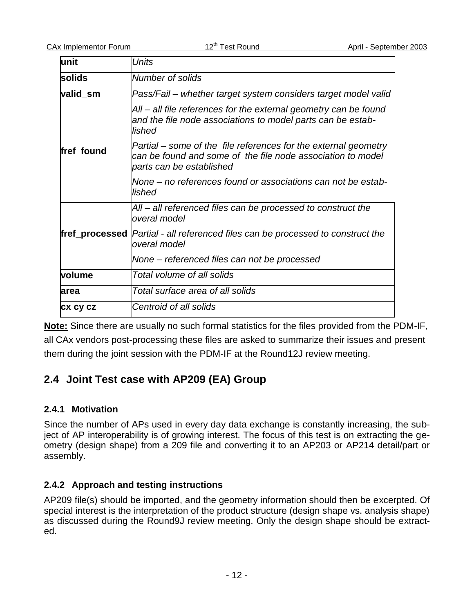| lunit      | Units                                                                                                                                                      |
|------------|------------------------------------------------------------------------------------------------------------------------------------------------------------|
| solids     | Number of solids                                                                                                                                           |
| valid sm   | Pass/Fail – whether target system considers target model valid                                                                                             |
|            | All – all file references for the external geometry can be found<br>and the file node associations to model parts can be estab-<br>lished                  |
| fref found | Partial – some of the file references for the external geometry<br>can be found and some of the file node association to model<br>parts can be established |
|            | None – no references found or associations can not be estab-<br>lished                                                                                     |
|            | All – all referenced files can be processed to construct the<br>overal model                                                                               |
|            | <b>fref_processed</b>  Partial - all referenced files can be processed to construct the<br>overal model                                                    |
|            | None – referenced files can not be processed                                                                                                               |
| volume     | Total volume of all solids                                                                                                                                 |
| larea      | Total surface area of all solids                                                                                                                           |
| CX CY CZ   | Centroid of all solids                                                                                                                                     |

**Note:** Since there are usually no such formal statistics for the files provided from the PDM-IF, all CAx vendors post-processing these files are asked to summarize their issues and present them during the joint session with the PDM-IF at the Round12J review meeting.

## **2.4 Joint Test case with AP209 (EA) Group**

#### **2.4.1 Motivation**

Since the number of APs used in every day data exchange is constantly increasing, the subject of AP interoperability is of growing interest. The focus of this test is on extracting the geometry (design shape) from a 209 file and converting it to an AP203 or AP214 detail/part or assembly.

#### **2.4.2 Approach and testing instructions**

AP209 file(s) should be imported, and the geometry information should then be excerpted. Of special interest is the interpretation of the product structure (design shape vs. analysis shape) as discussed during the Round9J review meeting. Only the design shape should be extracted.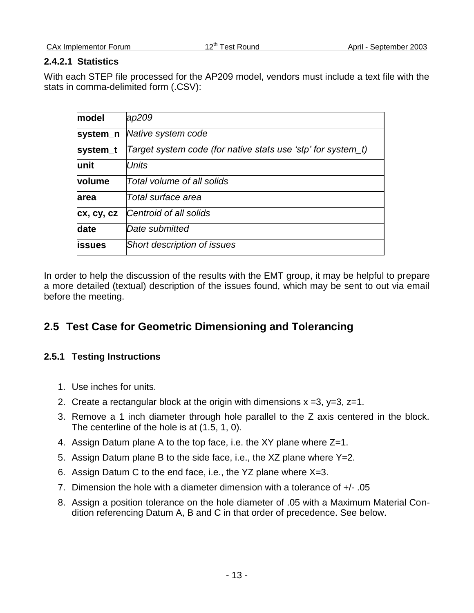#### **2.4.2.1 Statistics**

With each STEP file processed for the AP209 model, vendors must include a text file with the stats in comma-delimited form (.CSV):

| model         | ap209                                                        |
|---------------|--------------------------------------------------------------|
| system_n      | Native system code                                           |
| system_t      | Target system code (for native stats use 'stp' for system_t) |
| lunit         | Units                                                        |
| volume        | Total volume of all solids                                   |
| area          | Total surface area                                           |
| cx, cy, cz    | Centroid of all solids                                       |
| date          | Date submitted                                               |
| <b>issues</b> | Short description of issues                                  |
|               |                                                              |

In order to help the discussion of the results with the EMT group, it may be helpful to prepare a more detailed (textual) description of the issues found, which may be sent to out via email before the meeting.

## **2.5 Test Case for Geometric Dimensioning and Tolerancing**

#### **2.5.1 Testing Instructions**

- 1. Use inches for units.
- 2. Create a rectangular block at the origin with dimensions  $x = 3$ ,  $y = 3$ ,  $z = 1$ .
- 3. Remove a 1 inch diameter through hole parallel to the Z axis centered in the block. The centerline of the hole is at (1.5, 1, 0).
- 4. Assign Datum plane A to the top face, i.e. the XY plane where Z=1.
- 5. Assign Datum plane B to the side face, i.e., the XZ plane where Y=2.
- 6. Assign Datum C to the end face, i.e., the YZ plane where X=3.
- 7. Dimension the hole with a diameter dimension with a tolerance of +/- .05
- 8. Assign a position tolerance on the hole diameter of .05 with a Maximum Material Condition referencing Datum A, B and C in that order of precedence. See below.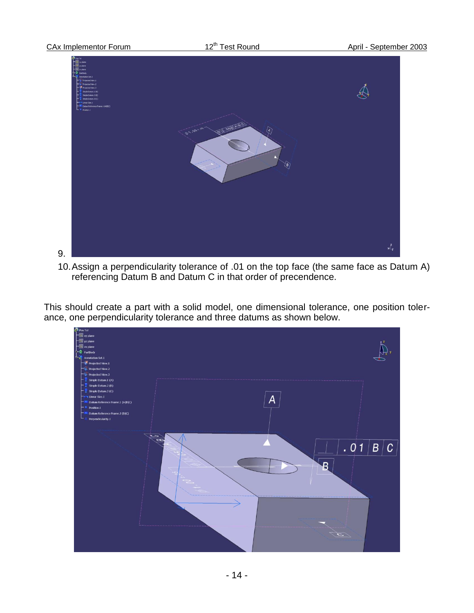

10.Assign a perpendicularity tolerance of .01 on the top face (the same face as Datum A) referencing Datum B and Datum C in that order of precendence.

This should create a part with a solid model, one dimensional tolerance, one position tolerance, one perpendicularity tolerance and three datums as shown below.